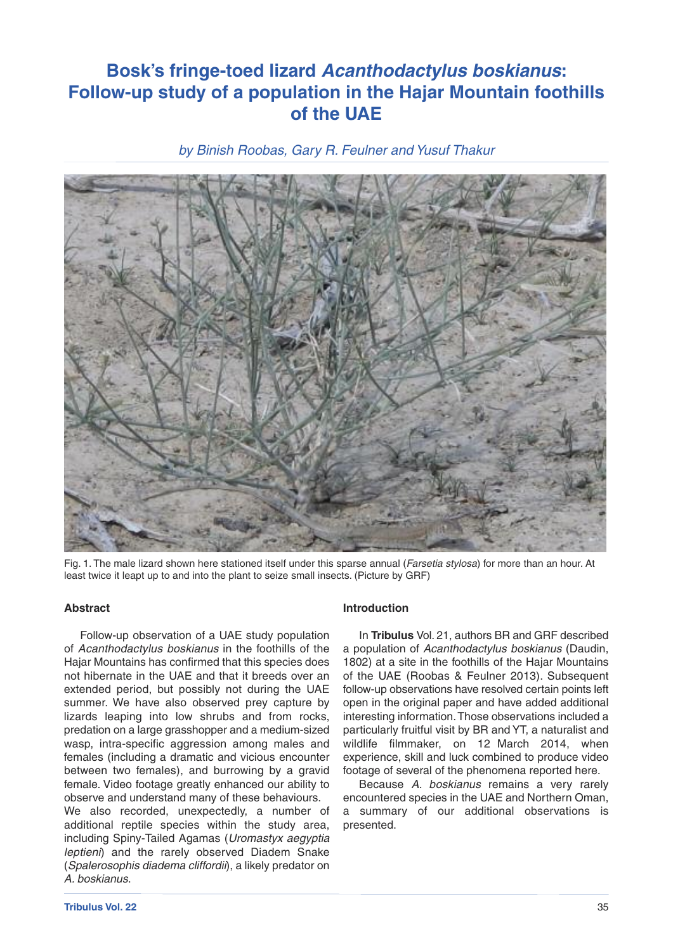# **Bosk's fringe-toed lizard** *Acanthodactylus boskianus***: Follow-up study of a population in the Hajar Mountain foothills of the UAE**

*by Binish Roobas, Gary R. Feulner and Yusuf Thakur*



Fig. 1. The male lizard shown here stationed itself under this sparse annual (*Farsetia stylosa*) for more than an hour. At least twice it leapt up to and into the plant to seize small insects. (Picture by GRF)

#### **Abstract**

Follow-up observation of a UAE study population of *Acanthodactylus boskianus* in the foothills of the Hajar Mountains has confirmed that this species does not hibernate in the UAE and that it breeds over an extended period, but possibly not during the UAE summer. We have also observed prey capture by lizards leaping into low shrubs and from rocks, predation on a large grasshopper and a medium-sized wasp, intra-specific aggression among males and females (including a dramatic and vicious encounter between two females), and burrowing by a gravid female. Video footage greatly enhanced our ability to observe and understand many of these behaviours.

We also recorded, unexpectedly, a number of additional reptile species within the study area, including Spiny-Tailed Agamas (*Uromastyx aegyptia leptieni*) and the rarely observed Diadem Snake (*Spalerosophis diadema cliffordii*), a likely predator on *A. boskianus*.

#### **Introduction**

In **Tribulus** Vol. 21, authors BR and GRF described a population of *Acanthodactylus boskianus* (Daudin, 1802) at a site in the foothills of the Hajar Mountains of the UAE (Roobas & Feulner 2013). Subsequent follow-up observations have resolved certain points left open in the original paper and have added additional interesting information.Those observations included a particularly fruitful visit by BR and YT, a naturalist and wildlife filmmaker, on 12 March 2014, when experience, skill and luck combined to produce video footage of several of the phenomena reported here.

Because *A. boskianus* remains a very rarely encountered species in the UAE and Northern Oman, a summary of our additional observations is presented.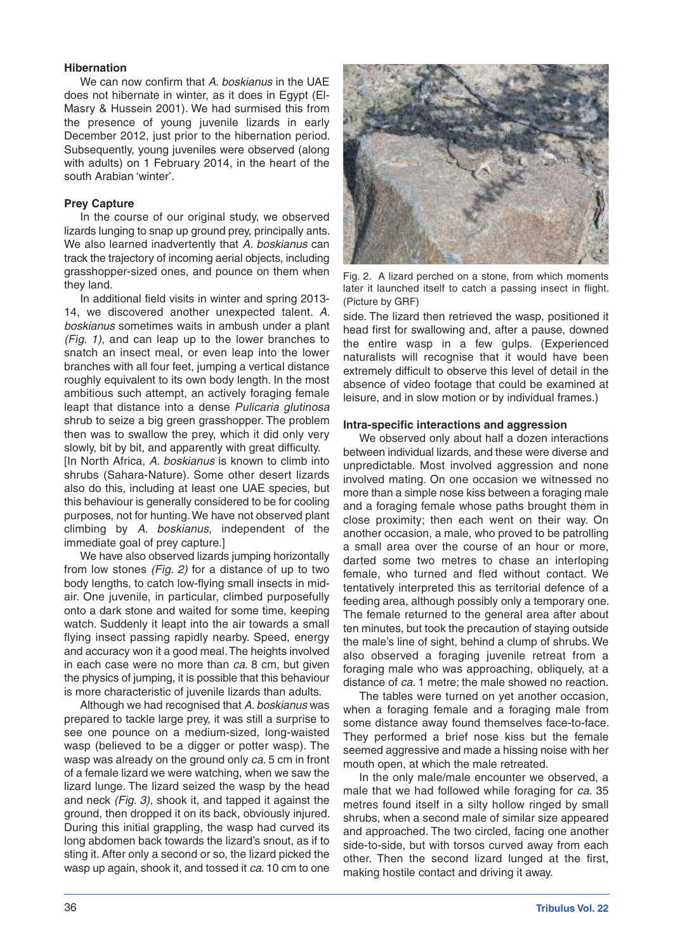# **Hibernation**

We can now confirm that *A. boskianus* in the UAE does not hibernate in winter, as it does in Egypt (El-Masry & Hussein 2001). We had surmised this from the presence of young juvenile lizards in early December 2012, just prior to the hibernation period. Subsequently, young juveniles were observed (along with adults) on 1 February 2014, in the heart of the south Arabian 'winter'.

## **Prey Capture**

In the course of our original study, we observed lizards lunging to snap up ground prey, principally ants. We also learned inadvertently that *A. boskianus* can track the trajectory of incoming aerial objects, including grasshopper-sized ones, and pounce on them when they land.

In additional field visits in winter and spring 2013- 14, we discovered another unexpected talent. *A. boskianus* sometimes waits in ambush under a plant *(Fig. 1),* and can leap up to the lower branches to snatch an insect meal, or even leap into the lower branches with all four feet, jumping a vertical distance roughly equivalent to its own body length. In the most ambitious such attempt, an actively foraging female leapt that distance into a dense *Pulicaria glutinosa* shrub to seize a big green grasshopper. The problem then was to swallow the prey, which it did only very slowly, bit by bit, and apparently with great difficulty.

[In North Africa, *A. boskianus* is known to climb into shrubs (Sahara-Nature). Some other desert lizards also do this, including at least one UAE species, but this behaviour is generally considered to be for cooling purposes, not for hunting.We have not observed plant climbing by *A. boskianus*, independent of the immediate goal of prey capture.]

We have also observed lizards jumping horizontally from low stones *(Fig. 2)* for a distance of up to two body lengths, to catch low-flying small insects in midair. One juvenile, in particular, climbed purposefully onto a dark stone and waited for some time, keeping watch. Suddenly it leapt into the air towards a small flying insect passing rapidly nearby. Speed, energy and accuracy won it a good meal.The heights involved in each case were no more than *ca*. 8 cm, but given the physics of jumping, it is possible that this behaviour is more characteristic of juvenile lizards than adults.

Although we had recognised that *A. boskianus* was prepared to tackle large prey, it was still a surprise to see one pounce on a medium-sized, long-waisted wasp (believed to be a digger or potter wasp). The wasp was already on the ground only *ca*. 5 cm in front of a female lizard we were watching, when we saw the lizard lunge. The lizard seized the wasp by the head and neck *(Fig. 3),* shook it, and tapped it against the ground, then dropped it on its back, obviously injured. During this initial grappling, the wasp had curved its long abdomen back towards the lizard's snout, as if to sting it. After only a second or so, the lizard picked the wasp up again, shook it, and tossed it *ca*. 10 cm to one



Fig. 2. A lizard perched on a stone, from which moments later it launched itself to catch a passing insect in flight. (Picture by GRF)

side. The lizard then retrieved the wasp, positioned it head first for swallowing and, after a pause, downed the entire wasp in a few gulps. (Experienced naturalists will recognise that it would have been extremely difficult to observe this level of detail in the absence of video footage that could be examined at leisure, and in slow motion or by individual frames.)

#### **Intra-specific interactions and aggression**

We observed only about half a dozen interactions between individual lizards, and these were diverse and unpredictable. Most involved aggression and none involved mating. On one occasion we witnessed no more than a simple nose kiss between a foraging male and a foraging female whose paths brought them in close proximity; then each went on their way. On another occasion, a male, who proved to be patrolling a small area over the course of an hour or more, darted some two metres to chase an interloping female, who turned and fled without contact. We tentatively interpreted this as territorial defence of a feeding area, although possibly only a temporary one. The female returned to the general area after about ten minutes, but took the precaution of staying outside the male's line of sight, behind a clump of shrubs. We also observed a foraging juvenile retreat from a foraging male who was approaching, obliquely, at a distance of *ca*. 1 metre; the male showed no reaction.

The tables were turned on yet another occasion, when a foraging female and a foraging male from some distance away found themselves face-to-face. They performed a brief nose kiss but the female seemed aggressive and made a hissing noise with her mouth open, at which the male retreated.

In the only male/male encounter we observed, a male that we had followed while foraging for *ca*. 35 metres found itself in a silty hollow ringed by small shrubs, when a second male of similar size appeared and approached. The two circled, facing one another side-to-side, but with torsos curved away from each other. Then the second lizard lunged at the first, making hostile contact and driving it away.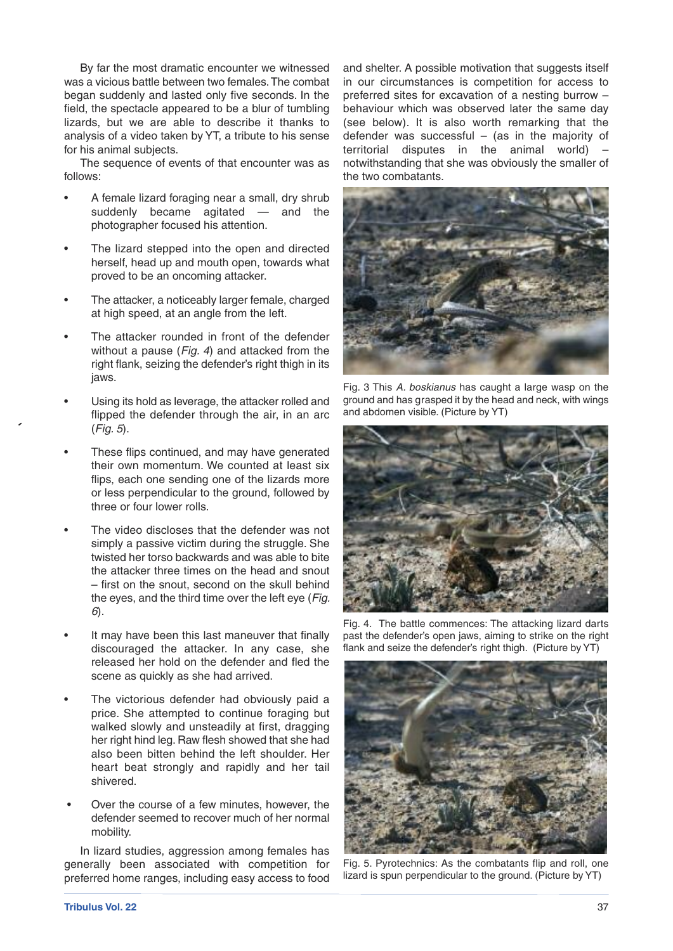By far the most dramatic encounter we witnessed was a vicious battle between two females.The combat began suddenly and lasted only five seconds. In the field, the spectacle appeared to be a blur of tumbling lizards, but we are able to describe it thanks to analysis of a video taken by YT, a tribute to his sense for his animal subjects.

The sequence of events of that encounter was as follows:

- A female lizard foraging near a small, dry shrub suddenly became agitated — and the photographer focused his attention.
- The lizard stepped into the open and directed herself, head up and mouth open, towards what proved to be an oncoming attacker.
- The attacker, a noticeably larger female, charged at high speed, at an angle from the left.
- The attacker rounded in front of the defender without a pause (*Fig. 4*) and attacked from the right flank, seizing the defender's right thigh in its jaws.
- Using its hold as leverage, the attacker rolled and flipped the defender through the air, in an arc (*Fig. 5*).
- These flips continued, and may have generated their own momentum. We counted at least six flips, each one sending one of the lizards more or less perpendicular to the ground, followed by three or four lower rolls.
- The video discloses that the defender was not simply a passive victim during the struggle. She twisted her torso backwards and was able to bite the attacker three times on the head and snout – first on the snout, second on the skull behind the eyes, and the third time over the left eye (*Fig. 6*).
- It may have been this last maneuver that finally discouraged the attacker. In any case, she released her hold on the defender and fled the scene as quickly as she had arrived.
- The victorious defender had obviously paid a price. She attempted to continue foraging but walked slowly and unsteadily at first, dragging her right hind leg. Raw flesh showed that she had also been bitten behind the left shoulder. Her heart beat strongly and rapidly and her tail shivered.
- Over the course of a few minutes, however, the defender seemed to recover much of her normal mobility.

In lizard studies, aggression among females has generally been associated with competition for preferred home ranges, including easy access to food and shelter. A possible motivation that suggests itself in our circumstances is competition for access to preferred sites for excavation of a nesting burrow – behaviour which was observed later the same day (see below). It is also worth remarking that the defender was successful  $-$  (as in the majority of territorial disputes in the animal world) – notwithstanding that she was obviously the smaller of the two combatants.



Fig. 3 This *A. boskianus* has caught a large wasp on the ground and has grasped it by the head and neck, with wings and abdomen visible. (Picture by YT)



Fig. 4. The battle commences: The attacking lizard darts past the defender's open jaws, aiming to strike on the right flank and seize the defender's right thigh. (Picture by YT)



Fig. 5. Pyrotechnics: As the combatants flip and roll, one lizard is spun perpendicular to the ground. (Picture by YT)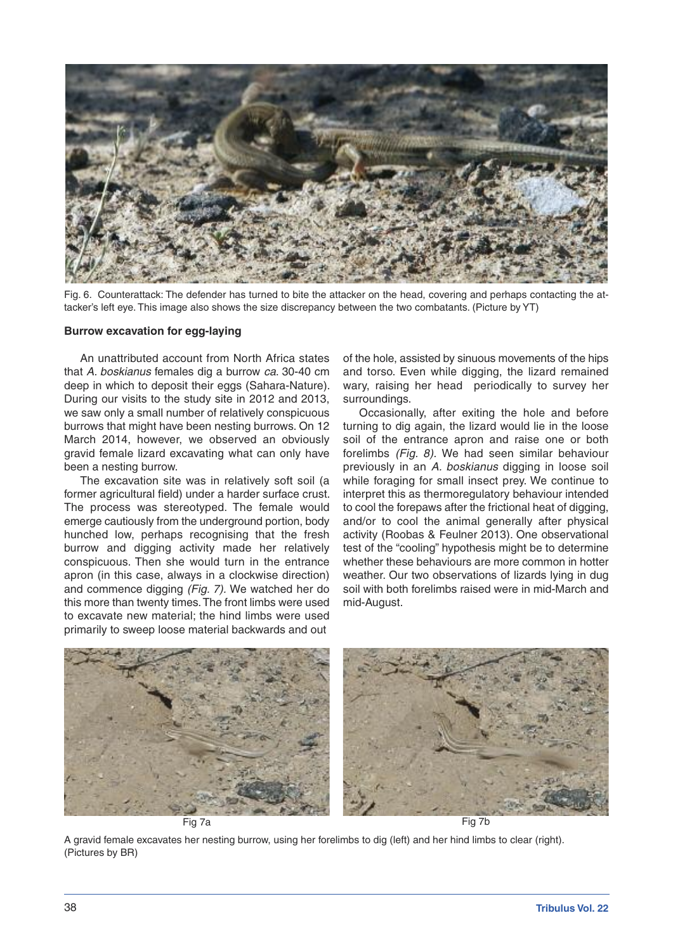

Fig. 6. Counterattack: The defender has turned to bite the attacker on the head, covering and perhaps contacting the attacker's left eye. This image also shows the size discrepancy between the two combatants. (Picture by YT)

#### **Burrow excavation for egg-laying**

An unattributed account from North Africa states that *A. boskianus* females dig a burrow *ca*. 30-40 cm deep in which to deposit their eggs (Sahara-Nature). During our visits to the study site in 2012 and 2013, we saw only a small number of relatively conspicuous burrows that might have been nesting burrows. On 12 March 2014, however, we observed an obviously gravid female lizard excavating what can only have been a nesting burrow.

The excavation site was in relatively soft soil (a former agricultural field) under a harder surface crust. The process was stereotyped. The female would emerge cautiously from the underground portion, body hunched low, perhaps recognising that the fresh burrow and digging activity made her relatively conspicuous. Then she would turn in the entrance apron (in this case, always in a clockwise direction) and commence digging *(Fig. 7).* We watched her do this more than twenty times.The front limbs were used to excavate new material; the hind limbs were used primarily to sweep loose material backwards and out

of the hole, assisted by sinuous movements of the hips and torso. Even while digging, the lizard remained wary, raising her head periodically to survey her surroundings.

Occasionally, after exiting the hole and before turning to dig again, the lizard would lie in the loose soil of the entrance apron and raise one or both forelimbs *(Fig. 8).* We had seen similar behaviour previously in an *A. boskianus* digging in loose soil while foraging for small insect prey. We continue to interpret this as thermoregulatory behaviour intended to cool the forepaws after the frictional heat of digging, and/or to cool the animal generally after physical activity (Roobas & Feulner 2013). One observational test of the "cooling" hypothesis might be to determine whether these behaviours are more common in hotter weather. Our two observations of lizards lying in dug soil with both forelimbs raised were in mid-March and mid-August.



A gravid female excavates her nesting burrow, using her forelimbs to dig (left) and her hind limbs to clear (right). (Pictures by BR)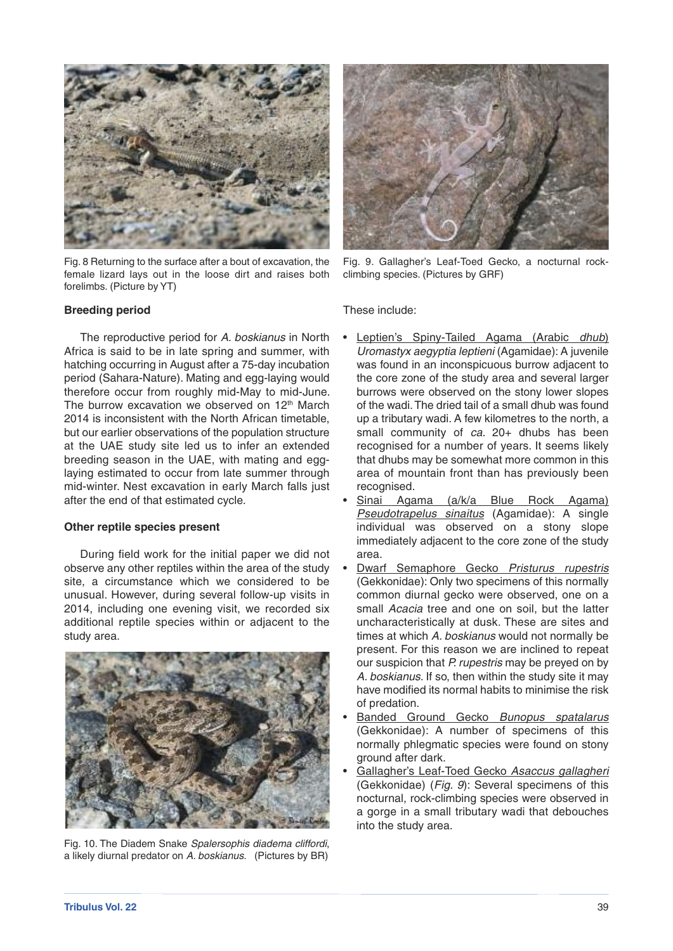

Fig. 8 Returning to the surface after a bout of excavation, the female lizard lays out in the loose dirt and raises both forelimbs. (Picture by YT)

#### **Breeding period**

The reproductive period for *A. boskianus* in North Africa is said to be in late spring and summer, with hatching occurring in August after a 75-day incubation period (Sahara-Nature). Mating and egg-laying would therefore occur from roughly mid-May to mid-June. The burrow excavation we observed on 12<sup>th</sup> March 2014 is inconsistent with the North African timetable, but our earlier observations of the population structure at the UAE study site led us to infer an extended breeding season in the UAE, with mating and egglaying estimated to occur from late summer through mid-winter. Nest excavation in early March falls just after the end of that estimated cycle.

#### **Other reptile species present**

During field work for the initial paper we did not observe any other reptiles within the area of the study site, a circumstance which we considered to be unusual. However, during several follow-up visits in 2014, including one evening visit, we recorded six additional reptile species within or adjacent to the study area.



Fig. 10. The Diadem Snake *Spalersophis diadema cliffordi*, a likely diurnal predator on *A. boskianus*. (Pictures by BR)



Fig. 9. Gallagher's Leaf-Toed Gecko, a nocturnal rockclimbing species. (Pictures by GRF)

These include:

- Leptien's Spiny-Tailed Agama (Arabic *dhub*) *Uromastyx aegyptia leptieni* (Agamidae): A juvenile was found in an inconspicuous burrow adjacent to the core zone of the study area and several larger burrows were observed on the stony lower slopes of the wadi.The dried tail of a small dhub was found up a tributary wadi. A few kilometres to the north, a small community of *ca*. 20+ dhubs has been recognised for a number of years. It seems likely that dhubs may be somewhat more common in this area of mountain front than has previously been recognised.
- Sinai Agama (a/k/a Blue Rock Agama) *Pseudotrapelus sinaitus* (Agamidae): A single individual was observed on a stony slope immediately adjacent to the core zone of the study area.
- Dwarf Semaphore Gecko *Pristurus rupestris* (Gekkonidae): Only two specimens of this normally common diurnal gecko were observed, one on a small *Acacia* tree and one on soil, but the latter uncharacteristically at dusk. These are sites and times at which *A. boskianus* would not normally be present. For this reason we are inclined to repeat our suspicion that *P. rupestris* may be preyed on by *A. boskianus*. If so, then within the study site it may have modified its normal habits to minimise the risk of predation.
- Banded Ground Gecko *Bunopus spatalarus* (Gekkonidae): A number of specimens of this normally phlegmatic species were found on stony ground after dark.
- Gallagher's Leaf-Toed Gecko *Asaccus gallagheri* (Gekkonidae) (*Fig. 9*): Several specimens of this nocturnal, rock-climbing species were observed in a gorge in a small tributary wadi that debouches into the study area.